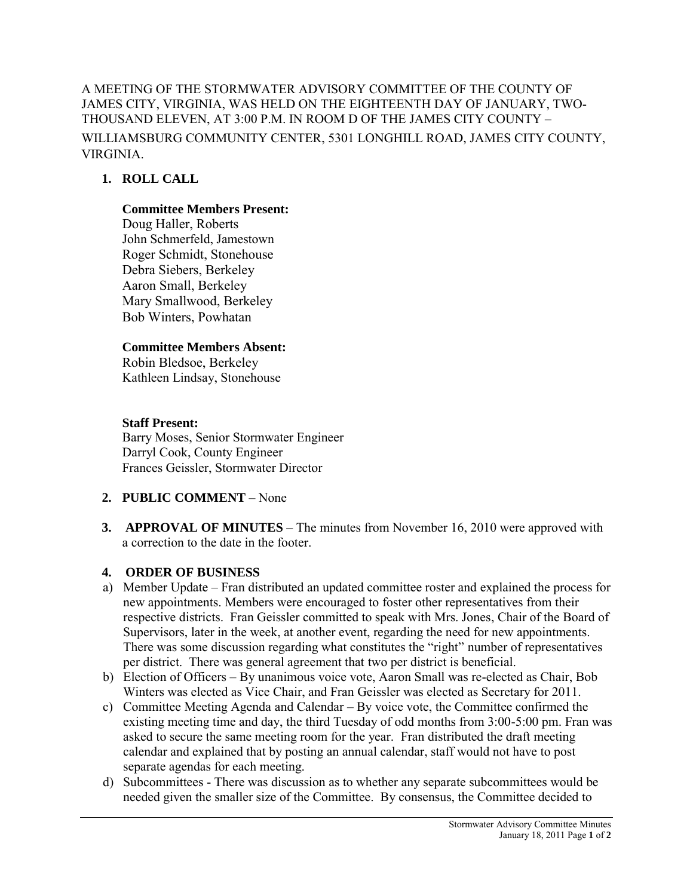A MEETING OF THE STORMWATER ADVISORY COMMITTEE OF THE COUNTY OF JAMES CITY, VIRGINIA, WAS HELD ON THE EIGHTEENTH DAY OF JANUARY, TWO-THOUSAND ELEVEN, AT 3:00 P.M. IN ROOM D OF THE JAMES CITY COUNTY – WILLIAMSBURG COMMUNITY CENTER, 5301 LONGHILL ROAD, JAMES CITY COUNTY, VIRGINIA.

# **1. ROLL CALL**

### **Committee Members Present:**

Doug Haller, Roberts John Schmerfeld, Jamestown Roger Schmidt, Stonehouse Debra Siebers, Berkeley Aaron Small, Berkeley Mary Smallwood, Berkeley Bob Winters, Powhatan

### **Committee Members Absent:**

Robin Bledsoe, Berkeley Kathleen Lindsay, Stonehouse

## **Staff Present:**

Barry Moses, Senior Stormwater Engineer Darryl Cook, County Engineer Frances Geissler, Stormwater Director

## **2. PUBLIC COMMENT** – None

**3. APPROVAL OF MINUTES** – The minutes from November 16, 2010 were approved with a correction to the date in the footer.

## **4. ORDER OF BUSINESS**

- a) Member Update Fran distributed an updated committee roster and explained the process for new appointments. Members were encouraged to foster other representatives from their respective districts. Fran Geissler committed to speak with Mrs. Jones, Chair of the Board of Supervisors, later in the week, at another event, regarding the need for new appointments. There was some discussion regarding what constitutes the "right" number of representatives per district. There was general agreement that two per district is beneficial.
- b) Election of Officers By unanimous voice vote, Aaron Small was re-elected as Chair, Bob Winters was elected as Vice Chair, and Fran Geissler was elected as Secretary for 2011.
- c) Committee Meeting Agenda and Calendar By voice vote, the Committee confirmed the existing meeting time and day, the third Tuesday of odd months from 3:00-5:00 pm. Fran was asked to secure the same meeting room for the year. Fran distributed the draft meeting calendar and explained that by posting an annual calendar, staff would not have to post separate agendas for each meeting.
- d) Subcommittees There was discussion as to whether any separate subcommittees would be needed given the smaller size of the Committee. By consensus, the Committee decided to